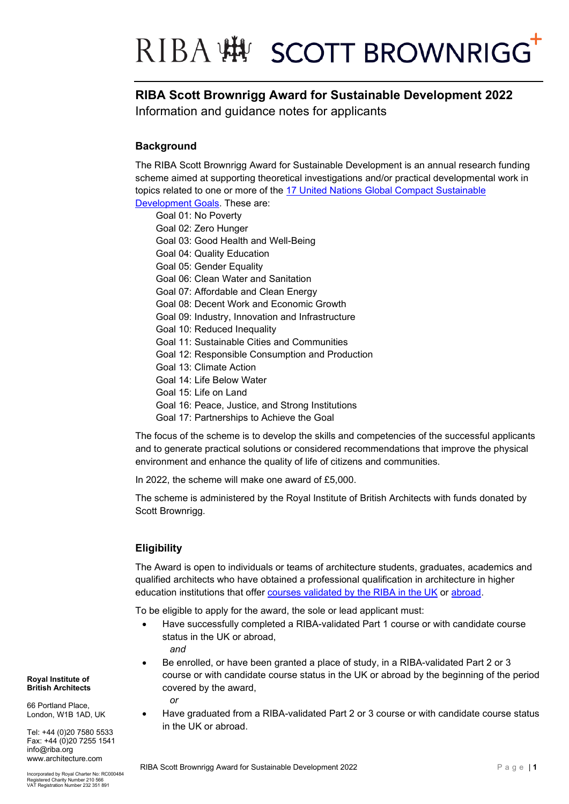### RIBA :# SCOTT BROWNRIGG

### **RIBA Scott Brownrigg Award for Sustainable Development 2022**

Information and guidance notes for applicants

### **Background**

The RIBA Scott Brownrigg Award for Sustainable Development is an annual research funding scheme aimed at supporting theoretical investigations and/or practical developmental work in topics related to one or more of the [17 United Nations](https://www.unglobalcompact.org/sdgs/17-global-goals) Global Compact Sustainable [Development Goals.](https://www.unglobalcompact.org/sdgs/17-global-goals) These are:

- Goal 01: No Poverty
- Goal 02: Zero Hunger
- Goal 03: Good Health and Well-Being
- Goal 04: Quality Education
- Goal 05: Gender Equality
- Goal 06: Clean Water and Sanitation
- Goal 07: Affordable and Clean Energy
- Goal 08: Decent Work and Economic Growth
- Goal 09: Industry, Innovation and Infrastructure
- Goal 10: Reduced Inequality
- Goal 11: Sustainable Cities and Communities
- Goal 12: Responsible Consumption and Production
- Goal 13: Climate Action
- Goal 14: Life Below Water
- Goal 15: Life on Land
- Goal 16: Peace, Justice, and Strong Institutions
- Goal 17: Partnerships to Achieve the Goal

The focus of the scheme is to develop the skills and competencies of the successful applicants and to generate practical solutions or considered recommendations that improve the physical environment and enhance the quality of life of citizens and communities.

In 2022, the scheme will make one award of £5,000.

The scheme is administered by the Royal Institute of British Architects with funds donated by Scott Brownrigg.

#### **Eligibility**

The Award is open to individuals or teams of architecture students, graduates, academics and qualified architects who have obtained a professional qualification in architecture in higher education institutions that offer [courses validated by the RIBA in the UK](https://www.architecture.com/education-cpd-and-careers/riba-validation/riba-validated-schools-uk) or [abroad.](https://www.architecture.com/education-cpd-and-careers/riba-validation/international-validated-schools)

To be eligible to apply for the award, the sole or lead applicant must:

- Have successfully completed a RIBA-validated Part 1 course or with candidate course status in the UK or abroad,
	- *and*
- Be enrolled, or have been granted a place of study, in a RIBA-validated Part 2 or 3 course or with candidate course status in the UK or abroad by the beginning of the period covered by the award,

*or*

• Have graduated from a RIBA-validated Part 2 or 3 course or with candidate course status in the UK or abroad.

#### **Royal Institute of British Architects**

66 Portland Place, London, W1B 1AD, UK

Tel: +44 (0)20 7580 5533 Fax: +44 (0)20 7255 1541 info@riba.org www.architecture.com

Incorporated by Royal Charter No: RC000484 Registered Charity Number 210 566 VAT Registration Number 232 351 891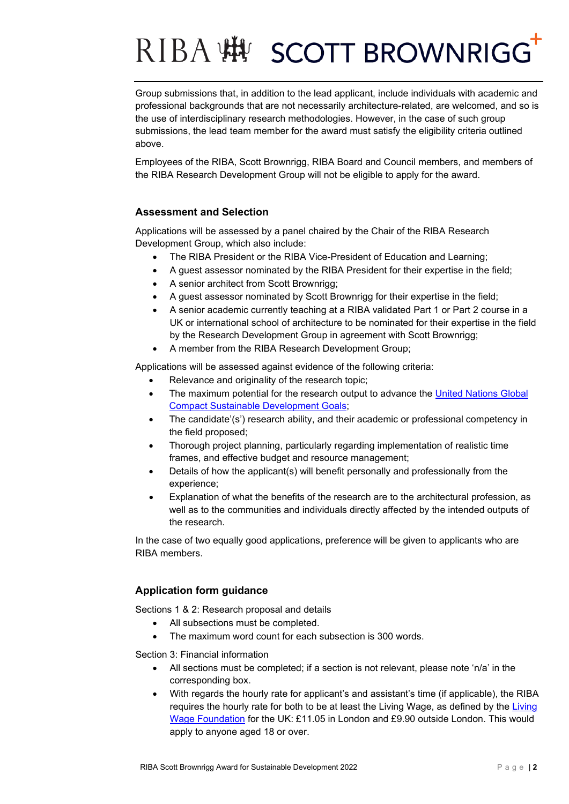# RIBA :# SCOTT BROWNRIGG

Group submissions that, in addition to the lead applicant, include individuals with academic and professional backgrounds that are not necessarily architecture-related, are welcomed, and so is the use of interdisciplinary research methodologies. However, in the case of such group submissions, the lead team member for the award must satisfy the eligibility criteria outlined above.

Employees of the RIBA, Scott Brownrigg, RIBA Board and Council members, and members of the RIBA Research Development Group will not be eligible to apply for the award.

#### **Assessment and Selection**

Applications will be assessed by a panel chaired by the Chair of the RIBA Research Development Group, which also include:

- The RIBA President or the RIBA Vice-President of Education and Learning;
- A guest assessor nominated by the RIBA President for their expertise in the field;
- A senior architect from Scott Brownrigg;
- A guest assessor nominated by Scott Brownrigg for their expertise in the field;
- A senior academic currently teaching at a RIBA validated Part 1 or Part 2 course in a UK or international school of architecture to be nominated for their expertise in the field by the Research Development Group in agreement with Scott Brownrigg;
- A member from the RIBA Research Development Group;

Applications will be assessed against evidence of the following criteria:

- Relevance and originality of the research topic;
- The maximum potential for the research output to advance the United Nations Global [Compact Sustainable Development Goals;](https://www.unglobalcompact.org/sdgs/17-global-goals)
- The candidate'(s') research ability, and their academic or professional competency in the field proposed;
- Thorough project planning, particularly regarding implementation of realistic time frames, and effective budget and resource management;
- Details of how the applicant(s) will benefit personally and professionally from the experience;
- Explanation of what the benefits of the research are to the architectural profession, as well as to the communities and individuals directly affected by the intended outputs of the research.

In the case of two equally good applications, preference will be given to applicants who are RIBA members.

#### **Application form guidance**

Sections 1 & 2: Research proposal and details

- All subsections must be completed.
- The maximum word count for each subsection is 300 words.

Section 3: Financial information

- All sections must be completed; if a section is not relevant, please note 'n/a' in the corresponding box.
- With regards the hourly rate for applicant's and assistant's time (if applicable), the RIBA requires the hourly rate for both to be at least the Living Wage, as defined by the [Living](https://www.livingwage.org.uk/)  [Wage Foundation](https://www.livingwage.org.uk/) for the UK: £11.05 in London and £9.90 outside London. This would apply to anyone aged 18 or over.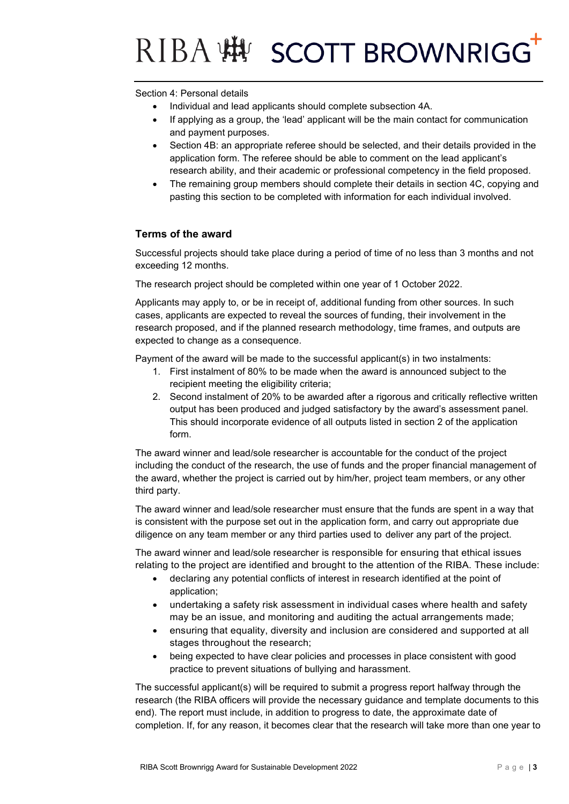# RIBA WHY SCOTT BROWNRIGG

Section 4: Personal details

- Individual and lead applicants should complete subsection 4A.
- If applying as a group, the 'lead' applicant will be the main contact for communication and payment purposes.
- Section 4B: an appropriate referee should be selected, and their details provided in the application form. The referee should be able to comment on the lead applicant's research ability, and their academic or professional competency in the field proposed.
- The remaining group members should complete their details in section 4C, copying and pasting this section to be completed with information for each individual involved.

#### **Terms of the award**

Successful projects should take place during a period of time of no less than 3 months and not exceeding 12 months.

The research project should be completed within one year of 1 October 2022.

Applicants may apply to, or be in receipt of, additional funding from other sources. In such cases, applicants are expected to reveal the sources of funding, their involvement in the research proposed, and if the planned research methodology, time frames, and outputs are expected to change as a consequence.

Payment of the award will be made to the successful applicant(s) in two instalments:

- 1. First instalment of 80% to be made when the award is announced subject to the recipient meeting the eligibility criteria;
- 2. Second instalment of 20% to be awarded after a rigorous and critically reflective written output has been produced and judged satisfactory by the award's assessment panel. This should incorporate evidence of all outputs listed in section 2 of the application form.

The award winner and lead/sole researcher is accountable for the conduct of the project including the conduct of the research, the use of funds and the proper financial management of the award, whether the project is carried out by him/her, project team members, or any other third party.

The award winner and lead/sole researcher must ensure that the funds are spent in a way that is consistent with the purpose set out in the application form, and carry out appropriate due diligence on any team member or any third parties used to deliver any part of the project.

The award winner and lead/sole researcher is responsible for ensuring that ethical issues relating to the project are identified and brought to the attention of the RIBA. These include:

- declaring any potential conflicts of interest in research identified at the point of application;
- undertaking a safety risk assessment in individual cases where health and safety may be an issue, and monitoring and auditing the actual arrangements made;
- ensuring that equality, diversity and inclusion are considered and supported at all stages throughout the research;
- being expected to have clear policies and processes in place consistent with good practice to prevent situations of bullying and harassment.

The successful applicant(s) will be required to submit a progress report halfway through the research (the RIBA officers will provide the necessary guidance and template documents to this end). The report must include, in addition to progress to date, the approximate date of completion. If, for any reason, it becomes clear that the research will take more than one year to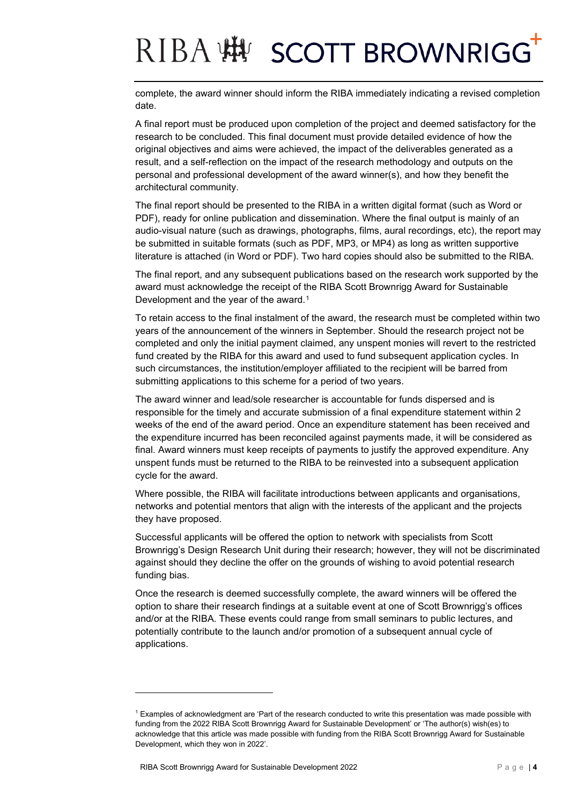### RIBA : 好 SCOTT BROWNRIGG

complete, the award winner should inform the RIBA immediately indicating a revised completion date.

A final report must be produced upon completion of the project and deemed satisfactory for the research to be concluded. This final document must provide detailed evidence of how the original objectives and aims were achieved, the impact of the deliverables generated as a result, and a self-reflection on the impact of the research methodology and outputs on the personal and professional development of the award winner(s), and how they benefit the architectural community.

The final report should be presented to the RIBA in a written digital format (such as Word or PDF), ready for online publication and dissemination. Where the final output is mainly of an audio-visual nature (such as drawings, photographs, films, aural recordings, etc), the report may be submitted in suitable formats (such as PDF, MP3, or MP4) as long as written supportive literature is attached (in Word or PDF). Two hard copies should also be submitted to the RIBA.

The final report, and any subsequent publications based on the research work supported by the award must acknowledge the receipt of the RIBA Scott Brownrigg Award for Sustainable Development and the year of the award.<sup>[1](#page-3-0)</sup>

To retain access to the final instalment of the award, the research must be completed within two years of the announcement of the winners in September. Should the research project not be completed and only the initial payment claimed, any unspent monies will revert to the restricted fund created by the RIBA for this award and used to fund subsequent application cycles. In such circumstances, the institution/employer affiliated to the recipient will be barred from submitting applications to this scheme for a period of two years.

The award winner and lead/sole researcher is accountable for funds dispersed and is responsible for the timely and accurate submission of a final expenditure statement within 2 weeks of the end of the award period. Once an expenditure statement has been received and the expenditure incurred has been reconciled against payments made, it will be considered as final. Award winners must keep receipts of payments to justify the approved expenditure. Any unspent funds must be returned to the RIBA to be reinvested into a subsequent application cycle for the award.

Where possible, the RIBA will facilitate introductions between applicants and organisations, networks and potential mentors that align with the interests of the applicant and the projects they have proposed.

Successful applicants will be offered the option to network with specialists from Scott Brownrigg's Design Research Unit during their research; however, they will not be discriminated against should they decline the offer on the grounds of wishing to avoid potential research funding bias.

Once the research is deemed successfully complete, the award winners will be offered the option to share their research findings at a suitable event at one of Scott Brownrigg's offices and/or at the RIBA. These events could range from small seminars to public lectures, and potentially contribute to the launch and/or promotion of a subsequent annual cycle of applications.

<span id="page-3-0"></span><sup>1</sup> Examples of acknowledgment are 'Part of the research conducted to write this presentation was made possible with funding from the 2022 RIBA Scott Brownrigg Award for Sustainable Development' or 'The author(s) wish(es) to acknowledge that this article was made possible with funding from the RIBA Scott Brownrigg Award for Sustainable Development, which they won in 2022'.